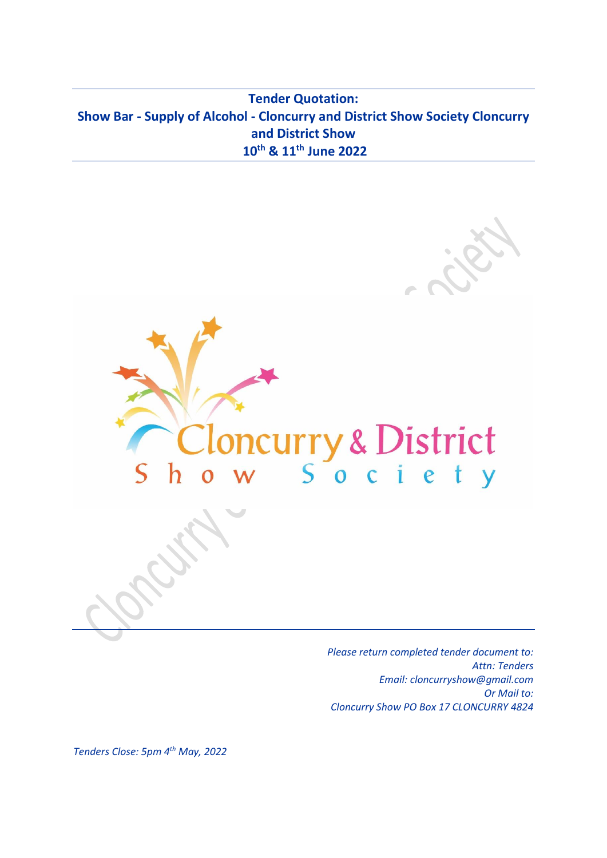**Tender Quotation: Show Bar - Supply of Alcohol - Cloncurry and District Show Society Cloncurry and District Show 10th & 11th June 2022**



*Please return completed tender document to: Attn: Tenders Email: cloncurryshow@gmail.com Or Mail to: Cloncurry Show PO Box 17 CLONCURRY 4824*

*Tenders Close: 5pm 4 th May, 2022*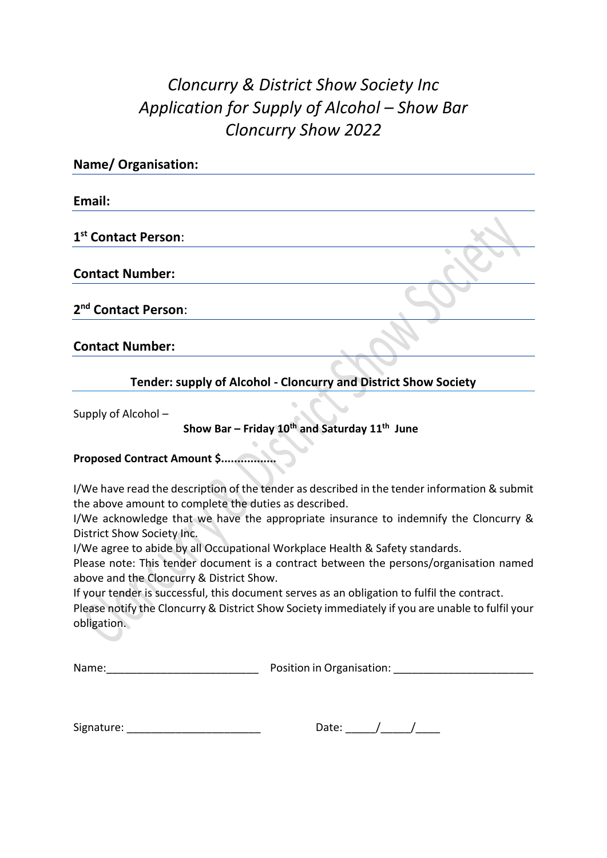# *Cloncurry & District Show Society Inc Application for Supply of Alcohol – Show Bar Cloncurry Show 2022*

| <b>Name/ Organisation:</b>      |  |
|---------------------------------|--|
| Email:                          |  |
| 1 <sup>st</sup> Contact Person: |  |
| <b>Contact Number:</b>          |  |
| 2 <sup>nd</sup> Contact Person: |  |
| <b>Contact Number:</b>          |  |

**Tender: supply of Alcohol - Cloncurry and District Show Society** 

Supply of Alcohol –

### **Show Bar – Friday 10th and Saturday 11 th June**

#### **Proposed Contract Amount \$.................**

I/We have read the description of the tender as described in the tender information & submit the above amount to complete the duties as described.

I/We acknowledge that we have the appropriate insurance to indemnify the Cloncurry & District Show Society Inc.

I/We agree to abide by all Occupational Workplace Health & Safety standards.

Please note: This tender document is a contract between the persons/organisation named above and the Cloncurry & District Show.

If your tender is successful, this document serves as an obligation to fulfil the contract.

Please notify the Cloncurry & District Show Society immediately if you are unable to fulfil your obligation.

| Name: | Position in Organisation: |
|-------|---------------------------|
|       |                           |

| Signature: |  |
|------------|--|
|            |  |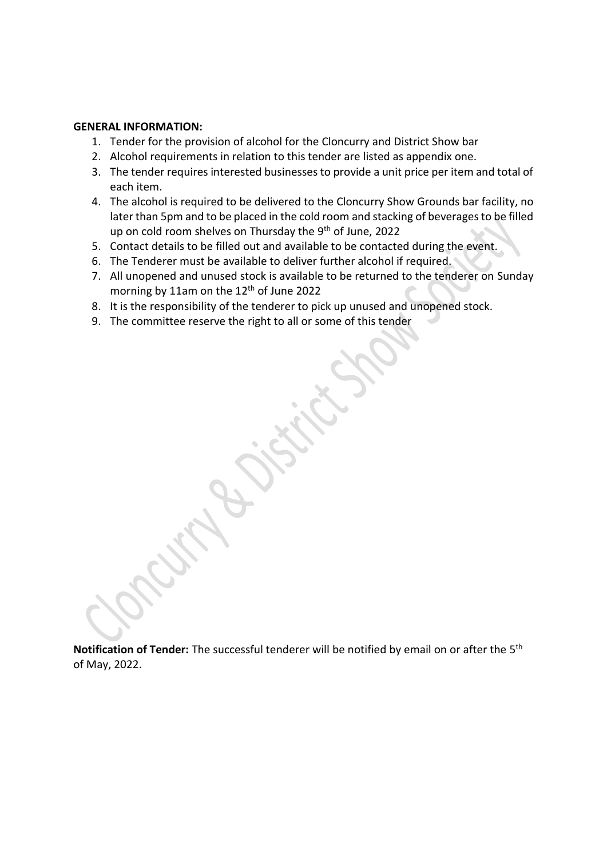#### **GENERAL INFORMATION:**

- 1. Tender for the provision of alcohol for the Cloncurry and District Show bar
- 2. Alcohol requirements in relation to this tender are listed as appendix one.
- 3. The tender requires interested businesses to provide a unit price per item and total of each item.
- 4. The alcohol is required to be delivered to the Cloncurry Show Grounds bar facility, no later than 5pm and to be placed in the cold room and stacking of beverages to be filled up on cold room shelves on Thursday the 9<sup>th</sup> of June, 2022
- 5. Contact details to be filled out and available to be contacted during the event.
- 6. The Tenderer must be available to deliver further alcohol if required.
- 7. All unopened and unused stock is available to be returned to the tenderer on Sunday morning by 11am on the 12<sup>th</sup> of June 2022
- 8. It is the responsibility of the tenderer to pick up unused and unopened stock.
- 9. The committee reserve the right to all or some of this tender

Notification of Tender: The successful tenderer will be notified by email on or after the 5<sup>th</sup> of May, 2022.